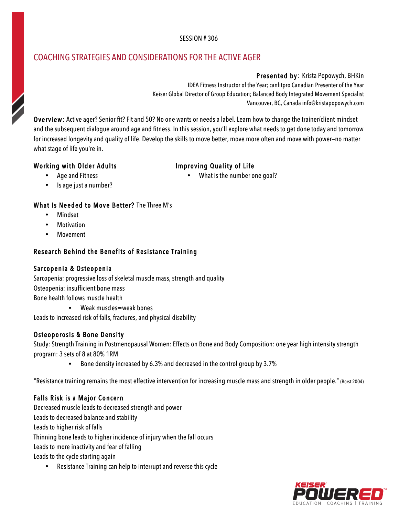#### SESSION # 306

# COACHING STRATEGIES AND CONSIDERATIONS FOR THE ACTIVE AGER

Presented by: Krista Popowych, BHKin IDEA Fitness Instructor of the Year; canfitpro Canadian Presenter of the Year Keiser Global Director of Group Education; Balanced Body Integrated Movement Specialist Vancouver, BC, Canada info@kristapopowych.com

Overview: Active ager? Senior fit? Fit and 50? No one wants or needs a label. Learn how to change the trainer/client mindset and the subsequent dialogue around age and fitness. In this session, you'll explore what needs to get done today and tomorrow for increased longevity and quality of life. Develop the skills to move better, move more often and move with power—no matter what stage of life you're in.

## Working with Older Adults

## Improving Quality of Life

• Age and Fitness

What is the number one goal?

• Is age just a number?

## What Is Needed to Move Better? The Three M's

- Mindset
- **Motivation**
- Movement

# Research Behind the Benefits of Resistance Training

## Sarcopenia & Osteopenia

Sarcopenia: progressive loss of skeletal muscle mass, strength and quality Osteopenia: insufficient bone mass Bone health follows muscle health

• Weak muscles=weak bones

Leads to increased risk of falls, fractures, and physical disability

## Osteoporosis & Bone Density

Study: Strength Training in Postmenopausal Women: Effects on Bone and Body Composition: one year high intensity strength program: 3 sets of 8 at 80% 1RM

• Bone density increased by 6.3% and decreased in the control group by 3.7%

"Resistance training remains the most effective intervention for increasing muscle mass and strength in older people." (Borst 2004)

# Falls Risk is a Major Concern

Decreased muscle leads to decreased strength and power Leads to decreased balance and stability Leads to higher risk of falls Thinning bone leads to higher incidence of injury when the fall occurs Leads to more inactivity and fear of falling Leads to the cycle starting again

• Resistance Training can help to interrupt and reverse this cycle